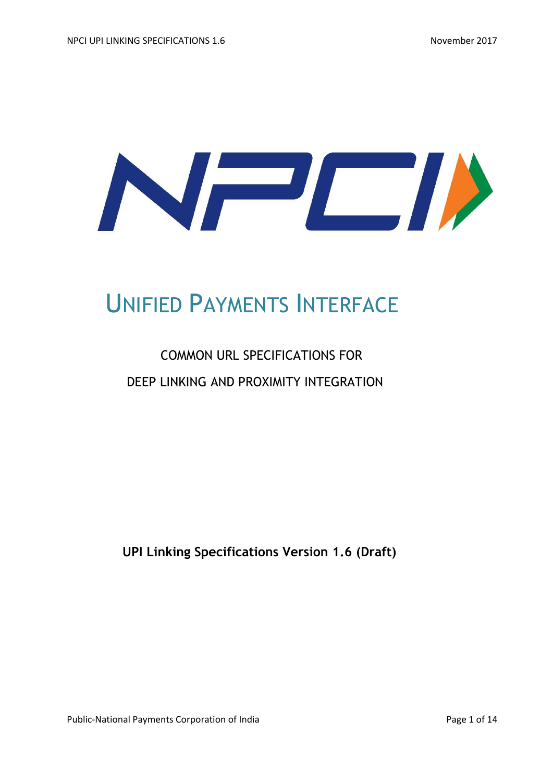

# UNIFIED PAYMENTS INTERFACE

# COMMON URL SPECIFICATIONS FOR DEEP LINKING AND PROXIMITY INTEGRATION

**UPI Linking Specifications Version 1.6 (Draft)** 

Public-National Payments Corporation of India Page 1 of 14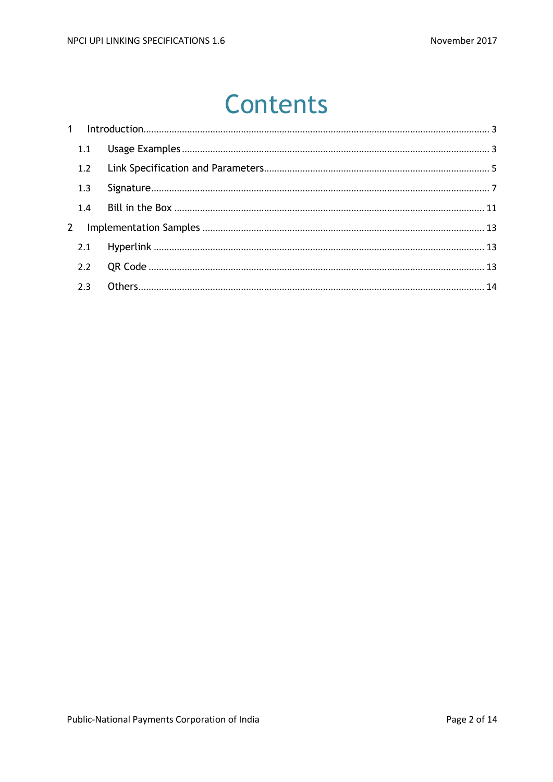# **Contents**

| 1.1 |  |
|-----|--|
| 1.2 |  |
| 1.3 |  |
|     |  |
|     |  |
|     |  |
|     |  |
|     |  |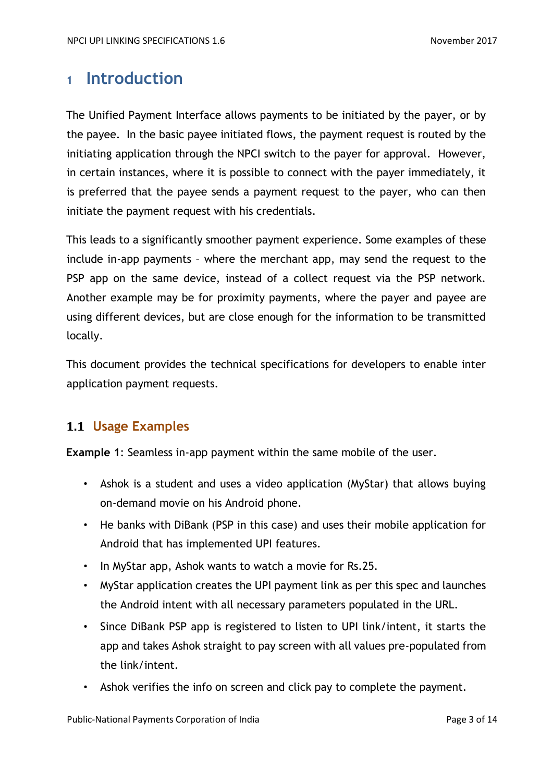## <span id="page-2-0"></span>**<sup>1</sup> Introduction**

The Unified Payment Interface allows payments to be initiated by the payer, or by the payee. In the basic payee initiated flows, the payment request is routed by the initiating application through the NPCI switch to the payer for approval. However, in certain instances, where it is possible to connect with the payer immediately, it is preferred that the payee sends a payment request to the payer, who can then initiate the payment request with his credentials.

This leads to a significantly smoother payment experience. Some examples of these include in-app payments – where the merchant app, may send the request to the PSP app on the same device, instead of a collect request via the PSP network. Another example may be for proximity payments, where the payer and payee are using different devices, but are close enough for the information to be transmitted locally.

This document provides the technical specifications for developers to enable inter application payment requests.

## <span id="page-2-1"></span>**1.1 Usage Examples**

**Example 1**: Seamless in-app payment within the same mobile of the user.

- Ashok is a student and uses a video application (MyStar) that allows buying on-demand movie on his Android phone.
- He banks with DiBank (PSP in this case) and uses their mobile application for Android that has implemented UPI features.
- In MyStar app, Ashok wants to watch a movie for Rs.25.
- MyStar application creates the UPI payment link as per this spec and launches the Android intent with all necessary parameters populated in the URL.
- Since DiBank PSP app is registered to listen to UPI link/intent, it starts the app and takes Ashok straight to pay screen with all values pre-populated from the link/intent.
- Ashok verifies the info on screen and click pay to complete the payment.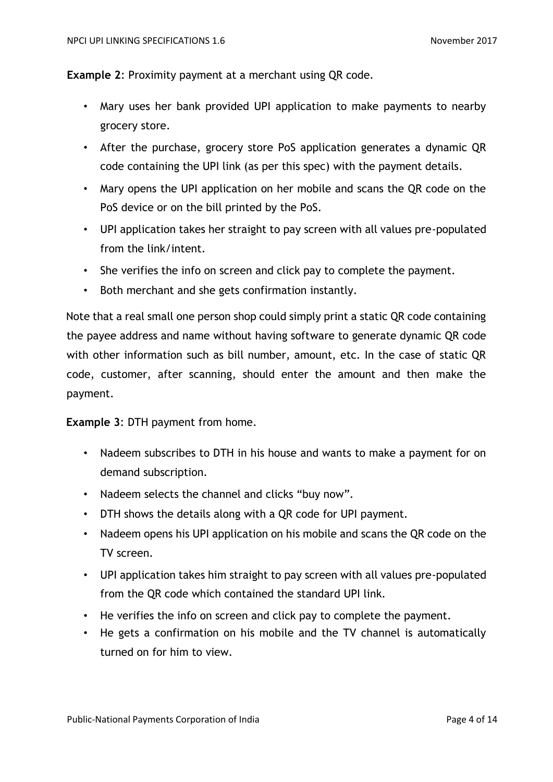#### **Example 2**: Proximity payment at a merchant using QR code.

- Mary uses her bank provided UPI application to make payments to nearby grocery store.
- After the purchase, grocery store PoS application generates a dynamic QR code containing the UPI link (as per this spec) with the payment details.
- Mary opens the UPI application on her mobile and scans the QR code on the PoS device or on the bill printed by the PoS.
- UPI application takes her straight to pay screen with all values pre-populated from the link/intent.
- She verifies the info on screen and click pay to complete the payment.
- Both merchant and she gets confirmation instantly.

Note that a real small one person shop could simply print a static QR code containing the payee address and name without having software to generate dynamic QR code with other information such as bill number, amount, etc. In the case of static QR code, customer, after scanning, should enter the amount and then make the payment.

#### **Example 3**: DTH payment from home.

- Nadeem subscribes to DTH in his house and wants to make a payment for on demand subscription.
- Nadeem selects the channel and clicks "buy now".
- DTH shows the details along with a QR code for UPI payment.
- Nadeem opens his UPI application on his mobile and scans the QR code on the TV screen.
- UPI application takes him straight to pay screen with all values pre-populated from the QR code which contained the standard UPI link.
- He verifies the info on screen and click pay to complete the payment.
- He gets a confirmation on his mobile and the TV channel is automatically turned on for him to view.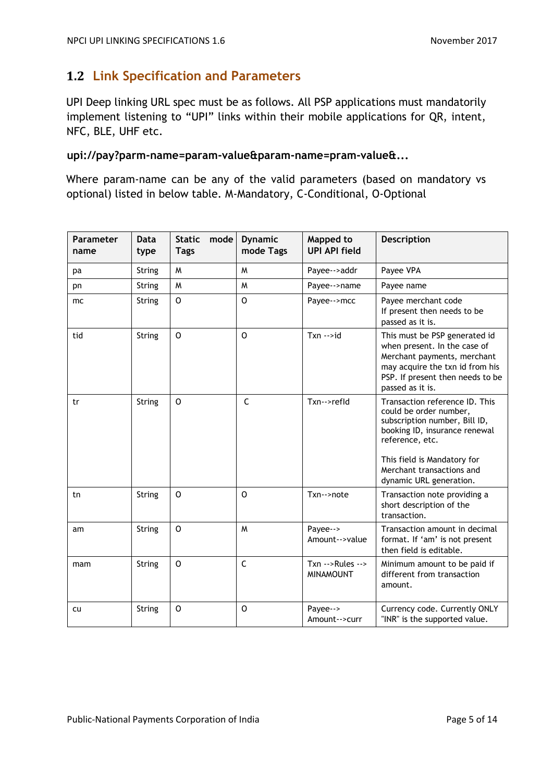## <span id="page-4-0"></span>**1.2 Link Specification and Parameters**

UPI Deep linking URL spec must be as follows. All PSP applications must mandatorily implement listening to "UPI" links within their mobile applications for QR, intent, NFC, BLE, UHF etc.

#### upi://pay?parm-name=param-value&param-name=pram-value&...

Where param-name can be any of the valid parameters (based on mandatory vs optional) listed in below table. M-Mandatory, C-Conditional, O-Optional

| <b>Parameter</b><br>name | Data<br>type  | $\sf mode \mid$<br><b>Static</b><br><b>Tags</b> | <b>Dynamic</b><br>mode Tags | Mapped to<br><b>UPI API field</b>     | <b>Description</b>                                                                                                                                                                                                                   |
|--------------------------|---------------|-------------------------------------------------|-----------------------------|---------------------------------------|--------------------------------------------------------------------------------------------------------------------------------------------------------------------------------------------------------------------------------------|
| pa                       | <b>String</b> | M                                               | W                           | Payee-->addr                          | Payee VPA                                                                                                                                                                                                                            |
| pn                       | String        | M                                               | M                           | Payee-->name                          | Payee name                                                                                                                                                                                                                           |
| mc                       | String        | $\circ$                                         | $\mathsf{O}$                | Payee-->mcc                           | Payee merchant code<br>If present then needs to be<br>passed as it is.                                                                                                                                                               |
| tid                      | String        | O                                               | $\mathsf{O}$                | $Txn - > id$                          | This must be PSP generated id<br>when present. In the case of<br>Merchant payments, merchant<br>may acquire the txn id from his<br>PSP. If present then needs to be<br>passed as it is.                                              |
| tr                       | String        | $\Omega$                                        | $\mathsf{C}$                | Txn-->refld                           | Transaction reference ID. This<br>could be order number,<br>subscription number, Bill ID,<br>booking ID, insurance renewal<br>reference, etc.<br>This field is Mandatory for<br>Merchant transactions and<br>dynamic URL generation. |
| tn                       | <b>String</b> | O                                               | O                           | $Txn \rightarrow note$                | Transaction note providing a<br>short description of the<br>transaction.                                                                                                                                                             |
| am                       | <b>String</b> | $\circ$                                         | M                           | Payee--><br>Amount-->value            | Transaction amount in decimal<br>format. If 'am' is not present<br>then field is editable.                                                                                                                                           |
| mam                      | <b>String</b> | $\circ$                                         | $\mathsf{C}$                | $Txn - Rules - >$<br><b>MINAMOUNT</b> | Minimum amount to be paid if<br>different from transaction<br>amount.                                                                                                                                                                |
| cu                       | String        | O                                               | O                           | Payee--><br>Amount-->curr             | Currency code. Currently ONLY<br>"INR" is the supported value.                                                                                                                                                                       |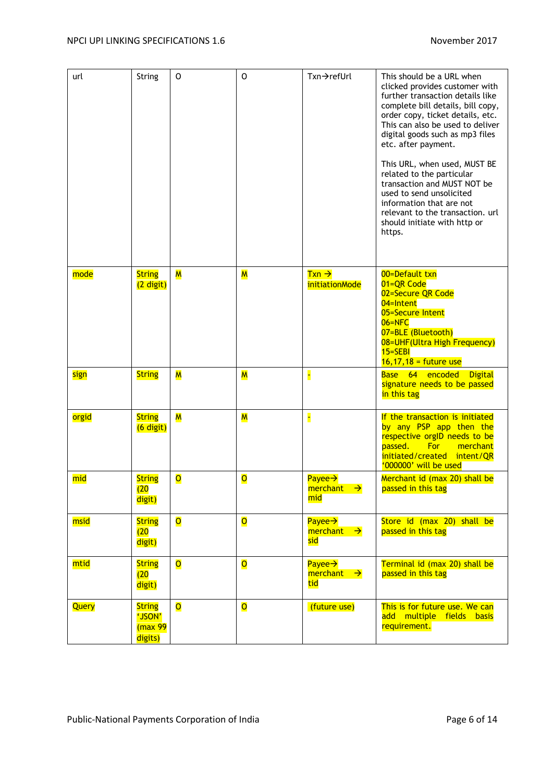| url   | String                                         | O                       | 0                       | $Txn \rightarrow refUr$                              | This should be a URL when<br>clicked provides customer with<br>further transaction details like<br>complete bill details, bill copy,<br>order copy, ticket details, etc.<br>This can also be used to deliver<br>digital goods such as mp3 files<br>etc. after payment.<br>This URL, when used, MUST BE<br>related to the particular<br>transaction and MUST NOT be<br>used to send unsolicited<br>information that are not<br>relevant to the transaction, url<br>should initiate with http or<br>https. |
|-------|------------------------------------------------|-------------------------|-------------------------|------------------------------------------------------|----------------------------------------------------------------------------------------------------------------------------------------------------------------------------------------------------------------------------------------------------------------------------------------------------------------------------------------------------------------------------------------------------------------------------------------------------------------------------------------------------------|
| mode  | <b>String</b><br>(2 digit)                     | $\overline{\mathsf{M}}$ | M                       | $Txn \rightarrow$<br><i>initiationMode</i>           | 00=Default txn<br>01=QR Code<br>02=Secure QR Code<br>04=Intent<br>05=Secure Intent<br>$06 =$ NFC<br>07=BLE (Bluetooth)<br>08=UHF(Ultra High Frequency)<br>$15 = SEBI$<br>$16,17,18$ = future use                                                                                                                                                                                                                                                                                                         |
| sign  | <b>String</b>                                  | $\overline{\mathsf{M}}$ | $\overline{\mathsf{M}}$ | E                                                    | Base 64 encoded<br><b>Digital</b><br>signature needs to be passed<br>in this tag                                                                                                                                                                                                                                                                                                                                                                                                                         |
| orgid | <b>String</b><br>(6 digit)                     | $\overline{\mathsf{M}}$ | $\overline{\mathsf{M}}$ | H                                                    | If the transaction is initiated<br>by any PSP app then the<br>respective orgID needs to be<br>passed.<br>For<br>merchant<br>initiated/created intent/QR<br>'000000' will be used                                                                                                                                                                                                                                                                                                                         |
| mid   | <b>String</b><br>(20)<br>digit)                | $\overline{O}$          | $\overline{O}$          | Payee $\rightarrow$<br>merchant $\rightarrow$<br>mid | Merchant id (max 20) shall be<br>passed in this tag                                                                                                                                                                                                                                                                                                                                                                                                                                                      |
| msid  | <b>String</b><br>(20)<br>digit)                | $\overline{\mathsf{O}}$ | $\overline{\mathsf{O}}$ | Payee $\rightarrow$<br>merchant $\rightarrow$<br>sid | Store id (max 20) shall be<br>passed in this tag                                                                                                                                                                                                                                                                                                                                                                                                                                                         |
| mtid  | <b>String</b><br>(20)<br>digit)                | $\overline{\mathsf{O}}$ | $\overline{\mathsf{O}}$ | Payee $\rightarrow$<br>merchant $\rightarrow$<br>tid | Terminal id (max 20) shall be<br>passed in this tag                                                                                                                                                                                                                                                                                                                                                                                                                                                      |
| Query | <b>String</b><br>'JSON'<br>(max 99)<br>digits) | $\overline{\mathsf{o}}$ | $\overline{\mathsf{O}}$ | (future use)                                         | This is for future use. We can<br>add multiple fields basis<br>requirement.                                                                                                                                                                                                                                                                                                                                                                                                                              |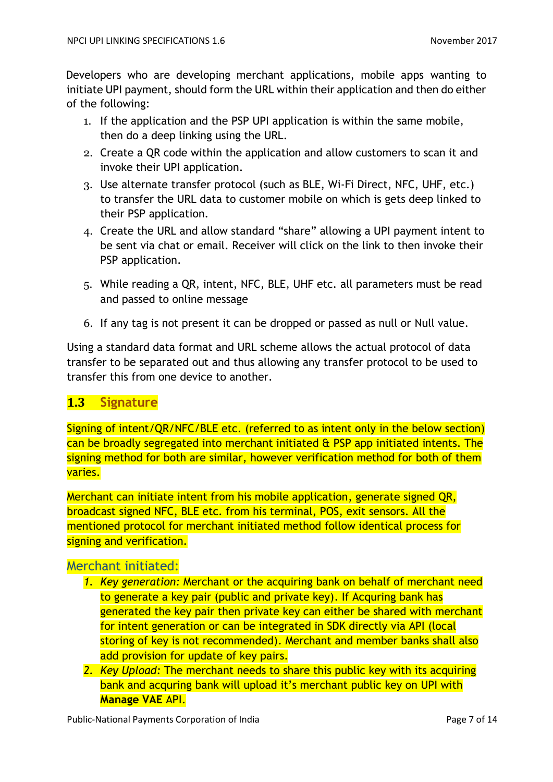Developers who are developing merchant applications, mobile apps wanting to initiate UPI payment, should form the URL within their application and then do either of the following:

- 1. If the application and the PSP UPI application is within the same mobile, then do a deep linking using the URL.
- 2. Create a QR code within the application and allow customers to scan it and invoke their UPI application.
- 3. Use alternate transfer protocol (such as BLE, Wi-Fi Direct, NFC, UHF, etc.) to transfer the URL data to customer mobile on which is gets deep linked to their PSP application.
- 4. Create the URL and allow standard "share" allowing a UPI payment intent to be sent via chat or email. Receiver will click on the link to then invoke their PSP application.
- 5. While reading a QR, intent, NFC, BLE, UHF etc. all parameters must be read and passed to online message
- 6. If any tag is not present it can be dropped or passed as null or Null value.

Using a standard data format and URL scheme allows the actual protocol of data transfer to be separated out and thus allowing any transfer protocol to be used to transfer this from one device to another.

## <span id="page-6-0"></span>**1.3 Signature**

Signing of intent/QR/NFC/BLE etc. (referred to as intent only in the below section) can be broadly segregated into merchant initiated & PSP app initiated intents. The signing method for both are similar, however verification method for both of them varies.

Merchant can initiate intent from his mobile application, generate signed QR, broadcast signed NFC, BLE etc. from his terminal, POS, exit sensors. All the mentioned protocol for merchant initiated method follow identical process for signing and verification.

## Merchant initiated:

- *1. Key generation:* Merchant or the acquiring bank on behalf of merchant need to generate a key pair (public and private key). If Acquring bank has generated the key pair then private key can either be shared with merchant for intent generation or can be integrated in SDK directly via API (local storing of key is not recommended). Merchant and member banks shall also add provision for update of key pairs.
- *2. Key Upload:* The merchant needs to share this public key with its acquiring bank and acquring bank will upload it's merchant public key on UPI with **Manage VAE** API.

Public-National Payments Corporation of India Page 7 of 14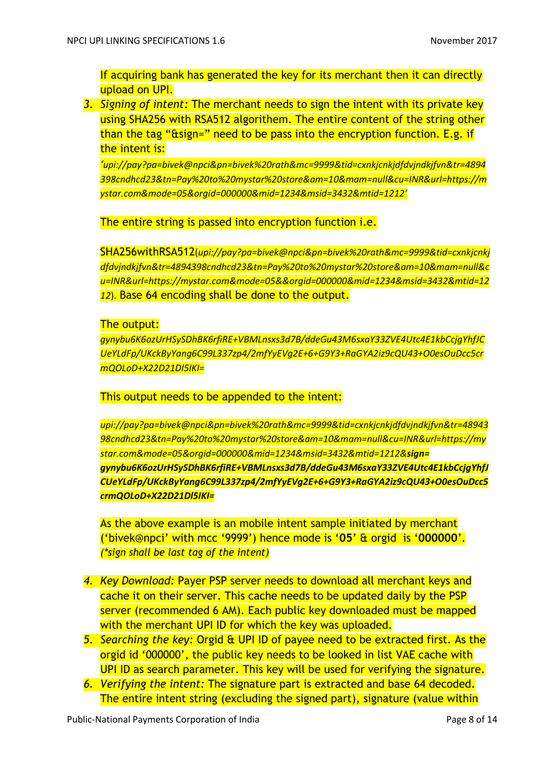If acquiring bank has generated the key for its merchant then it can directly upload on UPI.

*3. Signing of intent:* The merchant needs to sign the intent with its private key using SHA256 with RSA512 algorithem. The entire content of the string other than the tag "&sign=" need to be pass into the encryption function. E.g. if the intent is:

*'upi://pay?pa=bivek@npci&pn=bivek%20rath&mc=9999&tid=cxnkjcnkjdfdvjndkjfvn&tr=4894 398cndhcd23&tn=Pay%20to%20mystar%20store&am=10&mam=null&cu=INR&url=https://m ystar.com&mode=05&orgid=000000&mid=1234&msid=3432&mtid=1212'*

The entire string is passed into encryption function *i.e.* 

SHA256withRSA512(*upi://pay?pa=bivek@npci&pn=bivek%20rath&mc=9999&tid=cxnkjcnkj dfdvjndkjfvn&tr=4894398cndhcd23&tn=Pay%20to%20mystar%20store&am=10&mam=null&c u=INR&url=https://mystar.com&mode=05&&orgid=000000&mid=1234&msid=3432&mtid=12 12*). Base 64 encoding shall be done to the output.

#### The output:

*gynybu6K6ozUrHSySDhBK6rfiRE+VBMLnsxs3d7B/ddeGu43M6sxaY33ZVE4Utc4E1kbCcjgYhfJC UeYLdFp/UKckByYang6C99L337zp4/2mfYyEVg2E+6+G9Y3+RaGYA2iz9cQU43+O0esOuDcc5cr mQOLoD+X22D21Dl5IKI=*

This output needs to be appended to the intent:

*upi://pay?pa=bivek@npci&pn=bivek%20rath&mc=9999&tid=cxnkjcnkjdfdvjndkjfvn&tr=48943 98cndhcd23&tn=Pay%20to%20mystar%20store&am=10&mam=null&cu=INR&url=https://my star.com&mode=05&orgid=000000&mid=1234&msid=3432&mtid=1212&sign= gynybu6K6ozUrHSySDhBK6rfiRE+VBMLnsxs3d7B/ddeGu43M6sxaY33ZVE4Utc4E1kbCcjgYhfJ CUeYLdFp/UKckByYang6C99L337zp4/2mfYyEVg2E+6+G9Y3+RaGYA2iz9cQU43+O0esOuDcc5 crmQOLoD+X22D21Dl5IKI=*

As the above example is an mobile intent sample initiated by merchant ('bivek@npci' with mcc '9999') hence mode is '**05**' & orgid is '**000000**'. *(\*sign shall be last tag of the intent)*

- *4. Key Download:* Payer PSP server needs to download all merchant keys and cache it on their server. This cache needs to be updated daily by the PSP server (recommended 6 AM). Each public key downloaded must be mapped with the merchant UPI ID for which the key was uploaded.
- *5. Searching the key:* Orgid & UPI ID of payee need to be extracted first. As the orgid id '000000', the public key needs to be looked in list VAE cache with UPI ID as search parameter. This key will be used for verifying the signature.
- *6. Verifying the intent:* The signature part is extracted and base 64 decoded. The entire intent string (excluding the signed part), signature (value within

Public-National Payments Corporation of India Page 8 of 14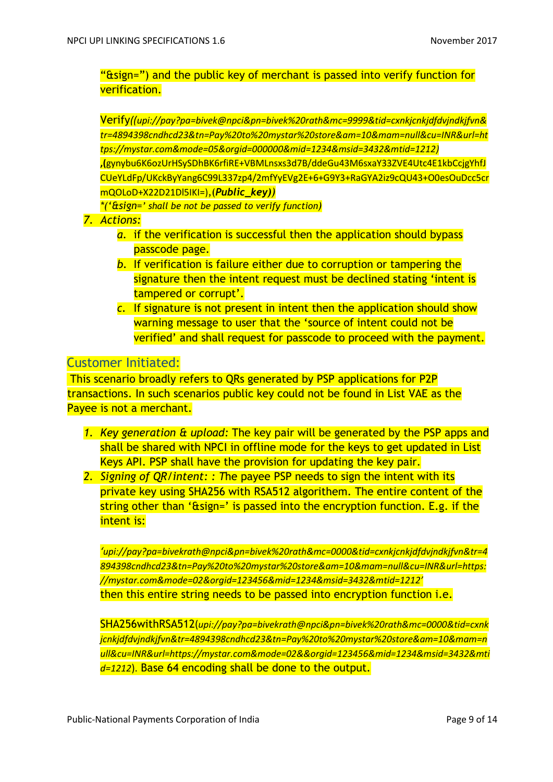"&sign=") and the public key of merchant is passed into verify function for verification.

Verify*((upi://pay?pa=bivek@npci&pn=bivek%20rath&mc=9999&tid=cxnkjcnkjdfdvjndkjfvn& tr=4894398cndhcd23&tn=Pay%20to%20mystar%20store&am=10&mam=null&cu=INR&url=ht tps://mystar.com&mode=05&orgid=000000&mid=1234&msid=3432&mtid=1212)* **,(**gynybu6K6ozUrHSySDhBK6rfiRE+VBMLnsxs3d7B/ddeGu43M6sxaY33ZVE4Utc4E1kbCcjgYhfJ CUeYLdFp/UKckByYang6C99L337zp4/2mfYyEVg2E+6+G9Y3+RaGYA2iz9cQU43+O0esOuDcc5cr mQOLoD+X22D21Dl5IKI=),(*Public\_key))*

*\*('&sign=' shall be not be passed to verify function)*

- *7. Actions:* 
	- *a.* if the verification is successful then the application should bypass passcode page.
	- *b.* If verification is failure either due to corruption or tampering the signature then the intent request must be declined stating 'intent is tampered or corrupt'.
	- *c.* If signature is not present in intent then the application should show warning message to user that the 'source of intent could not be verified' and shall request for passcode to proceed with the payment.

#### Customer Initiated:

This scenario broadly refers to QRs generated by PSP applications for P2P transactions. In such scenarios public key could not be found in List VAE as the Payee is not a merchant.

- *1. Key generation & upload:* The key pair will be generated by the PSP apps and shall be shared with NPCI in offline mode for the keys to get updated in List Keys API. PSP shall have the provision for updating the key pair.
- *2. Signing of QR/intent: : T*he payee PSP needs to sign the intent with its private key using SHA256 with RSA512 algorithem. The entire content of the string other than '&sign=' is passed into the encryption function. E.g. if the intent is:

*'upi://pay?pa=bivekrath@npci&pn=bivek%20rath&mc=0000&tid=cxnkjcnkjdfdvjndkjfvn&tr=4 894398cndhcd23&tn=Pay%20to%20mystar%20store&am=10&mam=null&cu=INR&url=https: //mystar.com&mode=02&orgid=123456&mid=1234&msid=3432&mtid=1212'* then this entire string needs to be passed into encryption function i.e.

SHA256withRSA512(*upi://pay?pa=bivekrath@npci&pn=bivek%20rath&mc=0000&tid=cxnk jcnkjdfdvjndkjfvn&tr=4894398cndhcd23&tn=Pay%20to%20mystar%20store&am=10&mam=n ull&cu=INR&url=https://mystar.com&mode=02&&orgid=123456&mid=1234&msid=3432&mti d=1212*). Base 64 encoding shall be done to the output.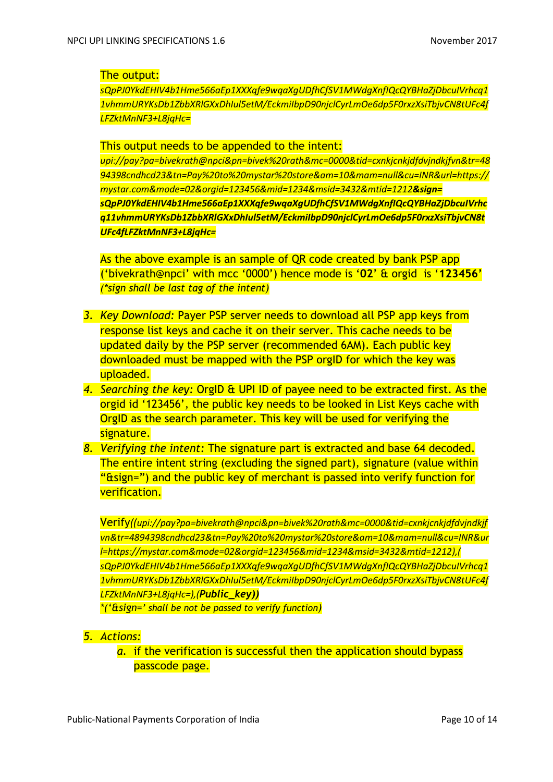#### The output:

*sQpPJ0YkdEHIV4b1Hme566aEp1XXXqfe9wqaXgUDfhCfSV1MWdgXnfIQcQYBHaZjDbcuIVrhcq1 1vhmmURYKsDb1ZbbXRlGXxDhIul5etM/EckmiIbpD90njclCyrLmOe6dp5F0rxzXsiTbjvCN8tUFc4f LFZktMnNF3+L8jqHc=*

#### This output needs to be appended to the intent:

*upi://pay?pa=bivekrath@npci&pn=bivek%20rath&mc=0000&tid=cxnkjcnkjdfdvjndkjfvn&tr=48 94398cndhcd23&tn=Pay%20to%20mystar%20store&am=10&mam=null&cu=INR&url=https:// mystar.com&mode=02&orgid=123456&mid=1234&msid=3432&mtid=1212&sign= sQpPJ0YkdEHIV4b1Hme566aEp1XXXqfe9wqaXgUDfhCfSV1MWdgXnfIQcQYBHaZjDbcuIVrhc q11vhmmURYKsDb1ZbbXRlGXxDhIul5etM/EckmiIbpD90njclCyrLmOe6dp5F0rxzXsiTbjvCN8t UFc4fLFZktMnNF3+L8jqHc=*

As the above example is an sample of QR code created by bank PSP app ('bivekrath@npci' with mcc '0000') hence mode is '**02**' & orgid is '**123456'** *(\*sign shall be last tag of the intent)*

- *3. Key Download:* Payer PSP server needs to download all PSP app keys from response list keys and cache it on their server. This cache needs to be updated daily by the PSP server (recommended 6AM). Each public key downloaded must be mapped with the PSP orgID for which the key was uploaded.
- *4. Searching the key:* OrgID & UPI ID of payee need to be extracted first. As the orgid id '123456', the public key needs to be looked in List Keys cache with OrgID as the search parameter. This key will be used for verifying the signature.
- *8. Verifying the intent:* The signature part is extracted and base 64 decoded. The entire intent string (excluding the signed part), signature (value within " $\xi$ sign=") and the public key of merchant is passed into verify function for verification.

Verify*((upi://pay?pa=bivekrath@npci&pn=bivek%20rath&mc=0000&tid=cxnkjcnkjdfdvjndkjf vn&tr=4894398cndhcd23&tn=Pay%20to%20mystar%20store&am=10&mam=null&cu=INR&ur l=https://mystar.com&mode=02&orgid=123456&mid=1234&msid=3432&mtid=1212),( sQpPJ0YkdEHIV4b1Hme566aEp1XXXqfe9wqaXgUDfhCfSV1MWdgXnfIQcQYBHaZjDbcuIVrhcq1 1vhmmURYKsDb1ZbbXRlGXxDhIul5etM/EckmiIbpD90njclCyrLmOe6dp5F0rxzXsiTbjvCN8tUFc4f LFZktMnNF3+L8jqHc=),(Public\_key))*

*\*('&sign=' shall be not be passed to verify function)*

- *5. Actions:* 
	- *a.* if the verification is successful then the application should bypass passcode page.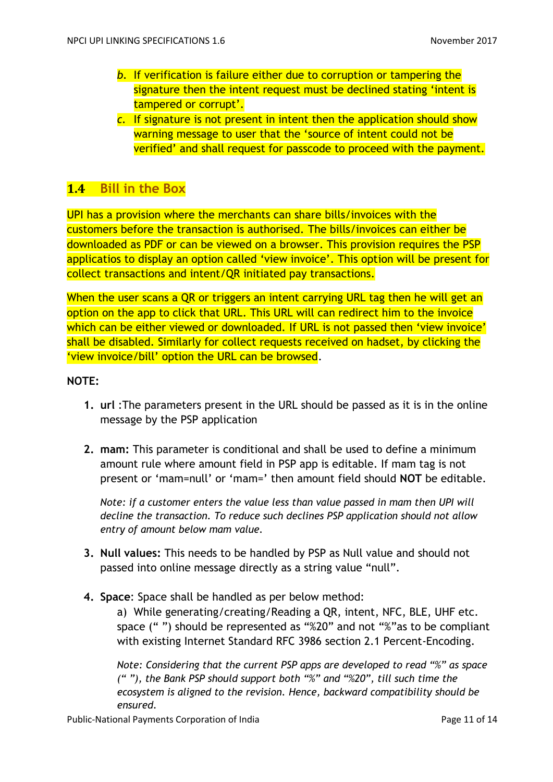- *b.* If verification is failure either due to corruption or tampering the signature then the intent request must be declined stating 'intent is tampered or corrupt'.
- *c.* If signature is not present in intent then the application should show warning message to user that the 'source of intent could not be verified' and shall request for passcode to proceed with the payment.

## <span id="page-10-0"></span>**1.4 Bill in the Box**

UPI has a provision where the merchants can share bills/invoices with the customers before the transaction is authorised. The bills/invoices can either be downloaded as PDF or can be viewed on a browser. This provision requires the PSP applicatios to display an option called 'view invoice'. This option will be present for collect transactions and intent/QR initiated pay transactions.

When the user scans a QR or triggers an intent carrying URL tag then he will get an option on the app to click that URL. This URL will can redirect him to the invoice which can be either viewed or downloaded. If URL is not passed then 'view invoice' shall be disabled. Similarly for collect requests received on hadset, by clicking the 'view invoice/bill' option the URL can be browsed.

#### **NOTE:**

- **1. url** :The parameters present in the URL should be passed as it is in the online message by the PSP application
- **2. mam:** This parameter is conditional and shall be used to define a minimum amount rule where amount field in PSP app is editable. If mam tag is not present or 'mam=null' or 'mam=' then amount field should **NOT** be editable.

*Note: if a customer enters the value less than value passed in mam then UPI will decline the transaction. To reduce such declines PSP application should not allow entry of amount below mam value.*

- **3. Null values:** This needs to be handled by PSP as Null value and should not passed into online message directly as a string value "null".
- **4. Space**: Space shall be handled as per below method:

a) While generating/creating/Reading a QR, intent, NFC, BLE, UHF etc. space (" ") should be represented as "%20" and not "%"as to be compliant with existing Internet Standard RFC 3986 section 2.1 Percent-Encoding.

*Note: Considering that the current PSP apps are developed to read "%" as space (" "), the Bank PSP should support both "%" and "%20", till such time the ecosystem is aligned to the revision. Hence, backward compatibility should be ensured.*

Public-National Payments Corporation of India **Page 11 of 14** Page 11 of 14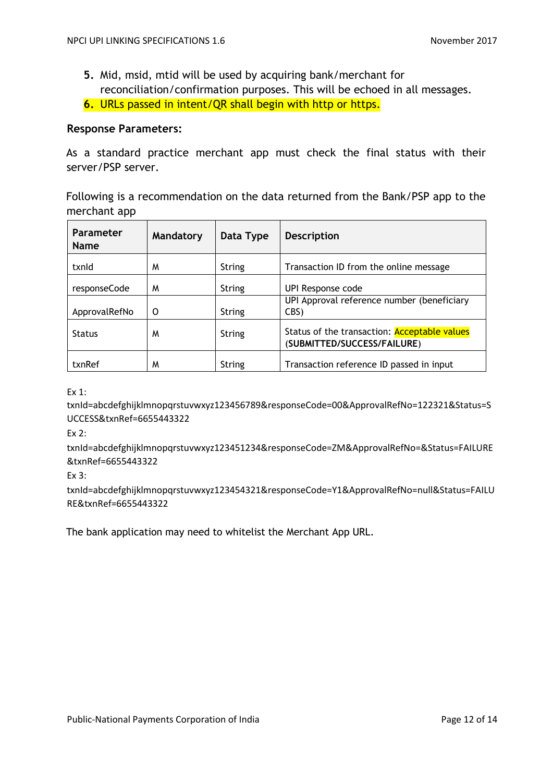- **5.** Mid, msid, mtid will be used by acquiring bank/merchant for reconciliation/confirmation purposes. This will be echoed in all messages.
- **6.** URLs passed in intent/QR shall begin with http or https.

#### **Response Parameters:**

As a standard practice merchant app must check the final status with their server/PSP server.

Following is a recommendation on the data returned from the Bank/PSP app to the merchant app

| Parameter<br><b>Name</b> | Mandatory | Data Type     | <b>Description</b>                                                          |
|--------------------------|-----------|---------------|-----------------------------------------------------------------------------|
| txnld                    | M         | <b>String</b> | Transaction ID from the online message                                      |
| responseCode             | M         | String        | UPI Response code                                                           |
| ApprovalRefNo            | 0         | String        | UPI Approval reference number (beneficiary<br>CBS)                          |
| <b>Status</b>            | M         | String        | Status of the transaction: Acceptable values<br>(SUBMITTED/SUCCESS/FAILURE) |
| txnRef                   | M         | String        | Transaction reference ID passed in input                                    |

Ex 1:

txnId=abcdefghijklmnopqrstuvwxyz123456789&responseCode=00&ApprovalRefNo=122321&Status=S UCCESS&txnRef=6655443322

Ex 2:

txnId=abcdefghijklmnopqrstuvwxyz123451234&responseCode=ZM&ApprovalRefNo=&Status=FAILURE &txnRef=6655443322

Ex 3:

txnId=abcdefghijklmnopqrstuvwxyz123454321&responseCode=Y1&ApprovalRefNo=null&Status=FAILU RE&txnRef=6655443322

The bank application may need to whitelist the Merchant App URL.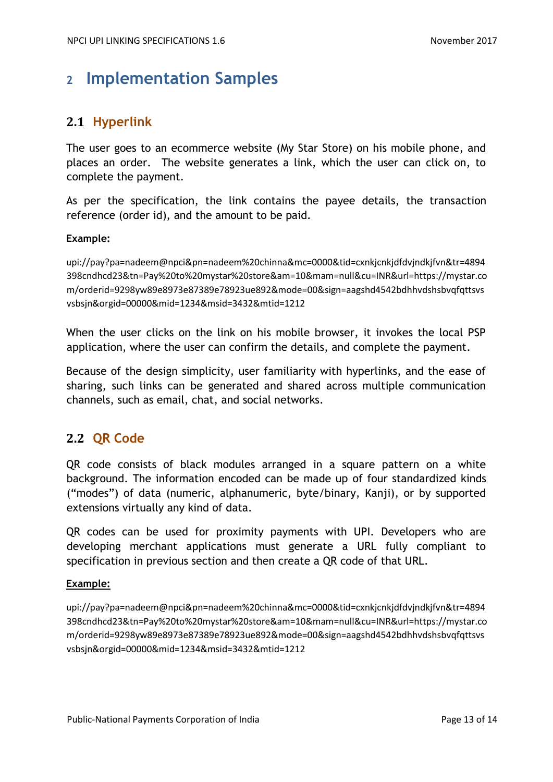## <span id="page-12-0"></span>**<sup>2</sup> Implementation Samples**

## <span id="page-12-1"></span>**2.1 Hyperlink**

The user goes to an ecommerce website (My Star Store) on his mobile phone, and places an order. The website generates a link, which the user can click on, to complete the payment.

As per the specification, the link contains the payee details, the transaction reference (order id), and the amount to be paid.

#### **Example:**

upi://pay?pa=nadeem@npci&pn=nadeem%20chinna&mc=0000&tid=cxnkjcnkjdfdvjndkjfvn&tr=4894 398cndhcd23&tn=Pay%20to%20mystar%20store&am=10&mam=null&cu=INR&url=https://mystar.co m/orderid=9298yw89e8973e87389e78923ue892&mode=00&sign=aagshd4542bdhhvdshsbvqfqttsvs vsbsjn&orgid=00000&mid=1234&msid=3432&mtid=1212

When the user clicks on the link on his mobile browser, it invokes the local PSP application, where the user can confirm the details, and complete the payment.

Because of the design simplicity, user familiarity with hyperlinks, and the ease of sharing, such links can be generated and shared across multiple communication channels, such as email, chat, and social networks.

### <span id="page-12-2"></span>**2.2 QR Code**

QR code consists of black modules arranged in a square pattern on a white background. The information encoded can be made up of four standardized kinds ("modes") of data (numeric, alphanumeric, byte/binary, Kanji), or by supported extensions virtually any kind of data.

QR codes can be used for proximity payments with UPI. Developers who are developing merchant applications must generate a URL fully compliant to specification in previous section and then create a QR code of that URL.

#### **Example:**

upi://pay?pa=nadeem@npci&pn=nadeem%20chinna&mc=0000&tid=cxnkjcnkjdfdvjndkjfvn&tr=4894 398cndhcd23&tn=Pay%20to%20mystar%20store&am=10&mam=null&cu=INR&url=https://mystar.co m/orderid=9298yw89e8973e87389e78923ue892&mode=00&sign=aagshd4542bdhhvdshsbvqfqttsvs vsbsjn&orgid=00000&mid=1234&msid=3432&mtid=1212